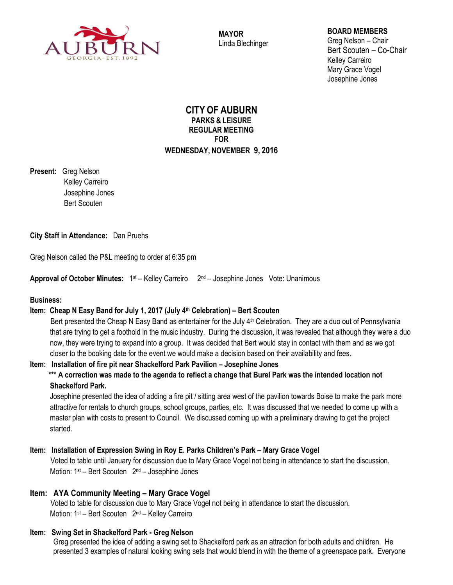

**MAYOR** Linda Blechinger

## **BOARD MEMBERS**

Greg Nelson – Chair Bert Scouten – Co-Chair Kelley Carreiro Mary Grace Vogel Josephine Jones

# **CITY OF AUBURN PARKS & LEISURE REGULAR MEETING FOR WEDNESDAY, NOVEMBER 9, 2016**

**Present:** Greg Nelson Kelley Carreiro Josephine Jones Bert Scouten

# **City Staff in Attendance:** Dan Pruehs

Greg Nelson called the P&L meeting to order at 6:35 pm

**Approval of October Minutes:** 1 st – Kelley Carreiro 2 nd – Josephine JonesVote: Unanimous

### **Business:**

# **Item: Cheap N Easy Band for July 1, 2017 (July 4th Celebration) – Bert Scouten**

Bert presented the Cheap N Easy Band as entertainer for the July 4<sup>th</sup> Celebration. They are a duo out of Pennsylvania that are trying to get a foothold in the music industry. During the discussion, it was revealed that although they were a duo now, they were trying to expand into a group. It was decided that Bert would stay in contact with them and as we got closer to the booking date for the event we would make a decision based on their availability and fees.

# **Item: Installation of fire pit near Shackelford Park Pavilion – Josephine Jones**

# **\*\*\* A correction was made to the agenda to reflect a change that Burel Park was the intended location not Shackelford Park.**

Josephine presented the idea of adding a fire pit / sitting area west of the pavilion towards Boise to make the park more attractive for rentals to church groups, school groups, parties, etc. It was discussed that we needed to come up with a master plan with costs to present to Council. We discussed coming up with a preliminary drawing to get the project started.

# **Item: Installation of Expression Swing in Roy E. Parks Children's Park – Mary Grace Vogel**

Voted to table until January for discussion due to Mary Grace Vogel not being in attendance to start the discussion. Motion: 1<sup>st</sup> – Bert Scouten 2<sup>nd</sup> – Josephine Jones

# **Item: AYA Community Meeting – Mary Grace Vogel**

Voted to table for discussion due to Mary Grace Vogel not being in attendance to start the discussion. Motion: 1<sup>st</sup> – Bert Scouten 2<sup>nd</sup> – Kelley Carreiro

# **Item: Swing Set in Shackelford Park - Greg Nelson**

Greg presented the idea of adding a swing set to Shackelford park as an attraction for both adults and children. He presented 3 examples of natural looking swing sets that would blend in with the theme of a greenspace park. Everyone